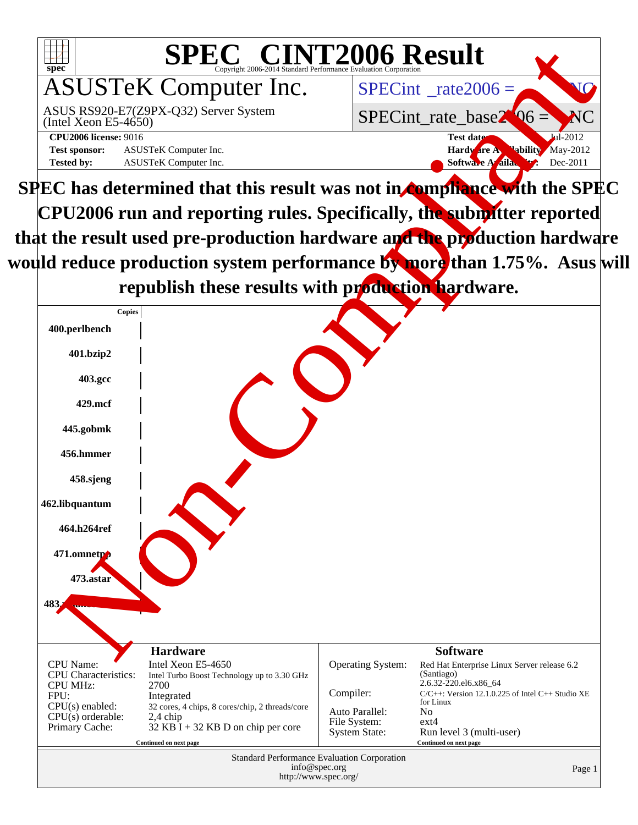

would reduce production system performance by more than 1.75%. Asus will republish these results with production hardware.

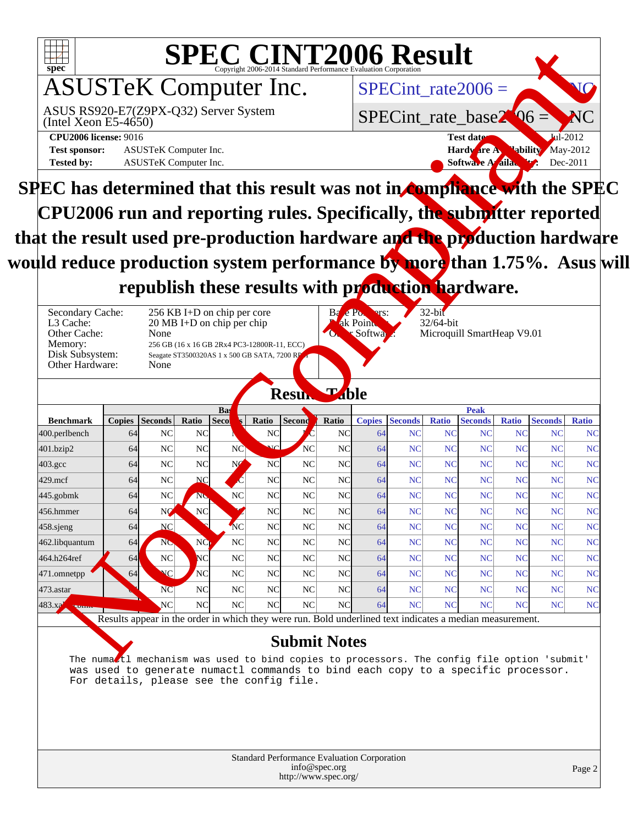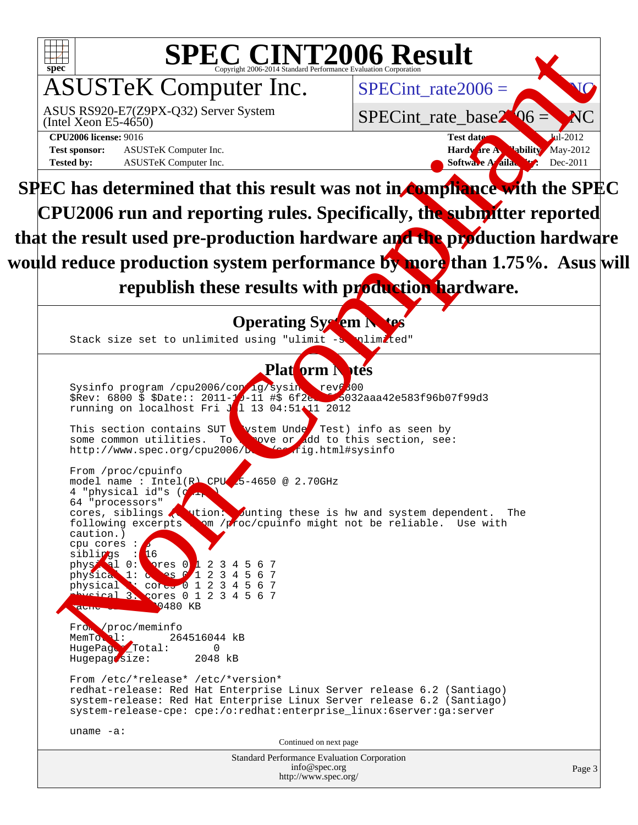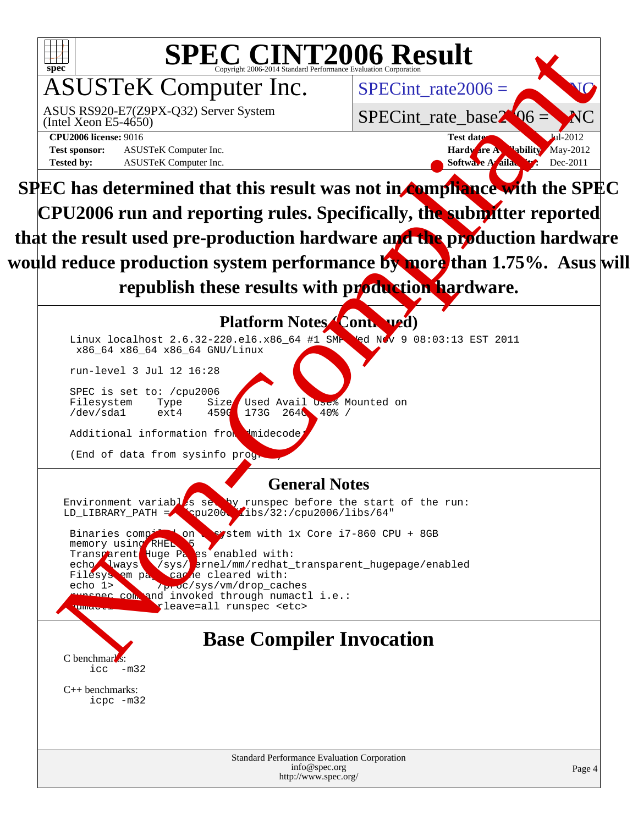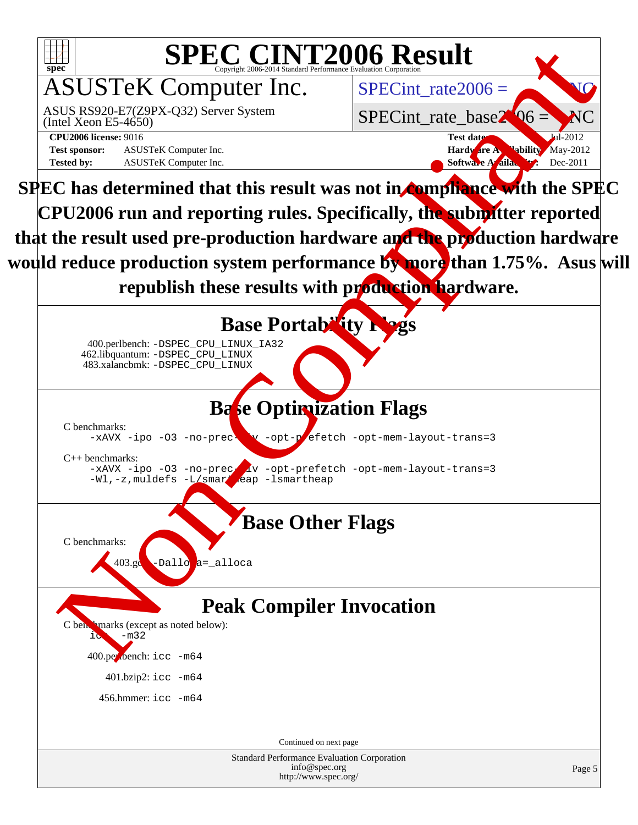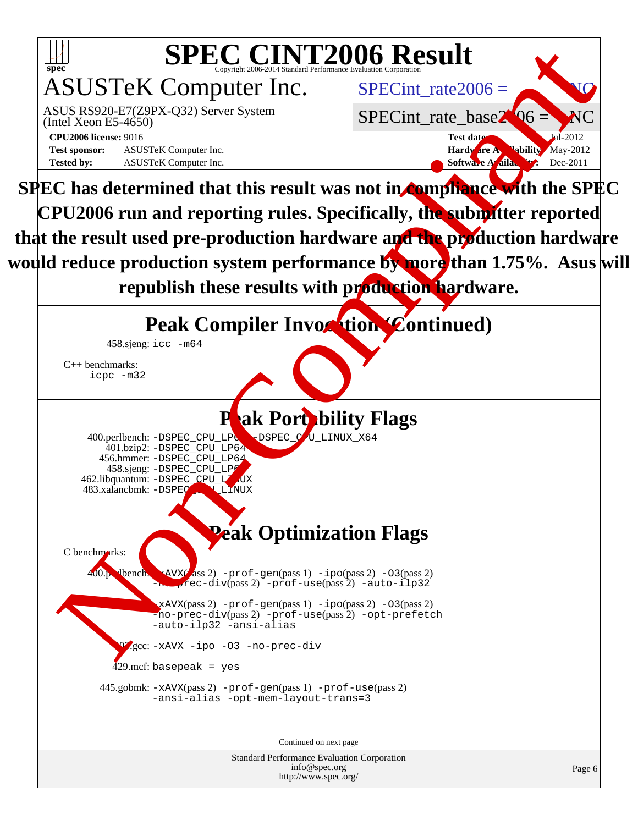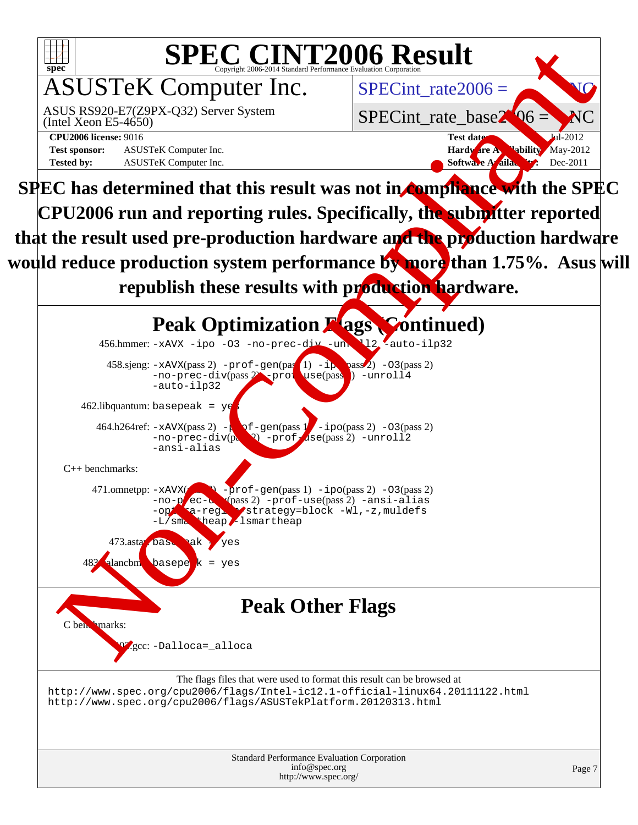